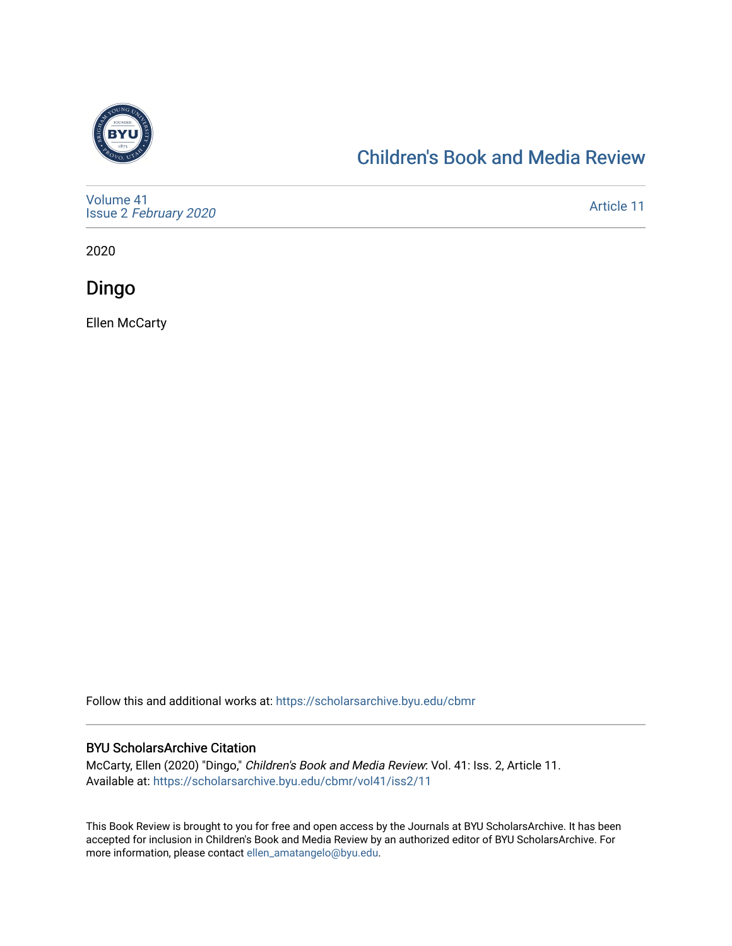

#### [Children's Book and Media Review](https://scholarsarchive.byu.edu/cbmr)

[Volume 41](https://scholarsarchive.byu.edu/cbmr/vol41) Issue 2 [February 2020](https://scholarsarchive.byu.edu/cbmr/vol41/iss2)

[Article 11](https://scholarsarchive.byu.edu/cbmr/vol41/iss2/11) 

2020

Dingo

Ellen McCarty

Follow this and additional works at: [https://scholarsarchive.byu.edu/cbmr](https://scholarsarchive.byu.edu/cbmr?utm_source=scholarsarchive.byu.edu%2Fcbmr%2Fvol41%2Fiss2%2F11&utm_medium=PDF&utm_campaign=PDFCoverPages) 

#### BYU ScholarsArchive Citation

McCarty, Ellen (2020) "Dingo," Children's Book and Media Review: Vol. 41: Iss. 2, Article 11. Available at: [https://scholarsarchive.byu.edu/cbmr/vol41/iss2/11](https://scholarsarchive.byu.edu/cbmr/vol41/iss2/11?utm_source=scholarsarchive.byu.edu%2Fcbmr%2Fvol41%2Fiss2%2F11&utm_medium=PDF&utm_campaign=PDFCoverPages)

This Book Review is brought to you for free and open access by the Journals at BYU ScholarsArchive. It has been accepted for inclusion in Children's Book and Media Review by an authorized editor of BYU ScholarsArchive. For more information, please contact [ellen\\_amatangelo@byu.edu.](mailto:ellen_amatangelo@byu.edu)